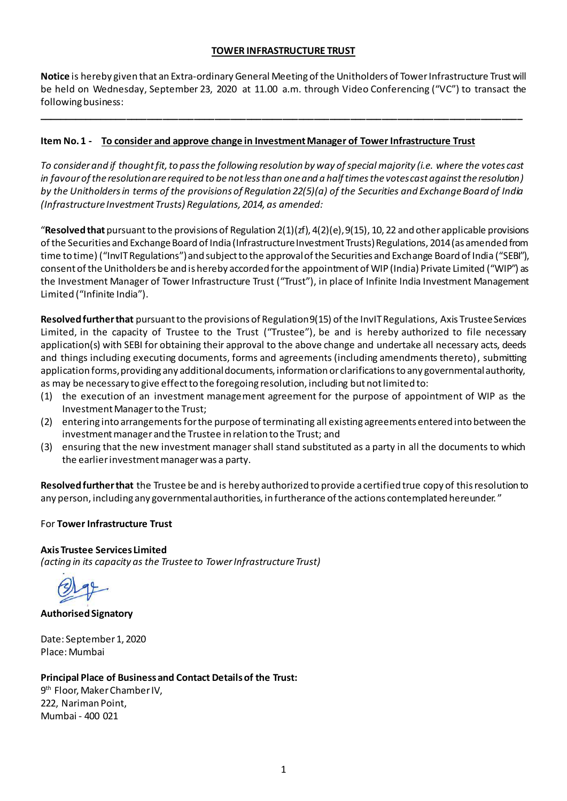### **TOWER INFRASTRUCTURE TRUST**

**Notice** is hereby given that an Extra-ordinary General Meeting of the Unitholders of Tower Infrastructure Trust will be held on Wednesday, September 23, 2020 at 11.00 a.m. through Video Conferencing ("VC") to transact the following business:

**\_\_\_\_\_\_\_\_\_\_\_\_\_\_\_\_\_\_\_\_\_\_\_\_\_\_\_\_\_\_\_\_\_\_\_\_\_\_\_\_\_\_\_\_\_\_\_\_\_\_\_\_\_\_\_\_\_\_\_\_\_\_\_\_\_\_\_\_\_\_\_\_\_\_\_\_\_\_\_\_\_\_\_\_\_\_\_\_\_\_\_\_\_**

### **Item No. 1 - To consider and approve change in Investment Manager of Tower Infrastructure Trust**

*To consider and if thought fit, to pass the following resolution by way of special majority (i.e. where the votes cast in favour of the resolution are required to be not less than one and a half times the votes cast against the resolution) by the Unitholders in terms of the provisions of Regulation 22(5)(a) of the Securities and Exchange Board of India (Infrastructure Investment Trusts) Regulations, 2014, as amended:* 

"Resolved that pursuant to the provisions of Regulation  $2(1)(zf)$ ,  $4(2)(e)$ ,  $9(15)$ , 10, 22 and other applicable provisions of the Securities and Exchange Board of India (Infrastructure Investment Trusts) Regulations, 2014 (as amended from time to time) ("InvIT Regulations")and subject to the approval of the Securities and Exchange Board of India ("SEBI"), consent of the Unitholders be and is hereby accorded for the appointment of WIP (India) Private Limited ("WIP") as the Investment Manager of Tower Infrastructure Trust ("Trust"), in place of Infinite India Investment Management Limited ("Infinite India").

**Resolved further that** pursuant to the provisions of Regulation 9(15) of the InvIT Regulations, Axis Trustee Services Limited, in the capacity of Trustee to the Trust ("Trustee"), be and is hereby authorized to file necessary application(s) with SEBI for obtaining their approval to the above change and undertake all necessary acts, deeds and things including executing documents, forms and agreements (including amendments thereto), submitting application forms, providing any additional documents, information or clarifications to any governmental authority, as may be necessary to give effect to the foregoing resolution, including but not limited to:

- (1) the execution of an investment management agreement for the purpose of appointment of WIP as the Investment Manager to the Trust;
- (2) entering into arrangements for the purpose of terminating all existing agreements entered into between the investment manager and the Trustee in relation to the Trust; and
- (3) ensuring that the new investment manager shall stand substituted as a party in all the documents to which the earlier investment manager was a party.

**Resolved further that** the Trustee be and is hereby authorized to provide a certified true copy of this resolution to any person, including any governmental authorities, in furtherance of the actions contemplated hereunder. "

### For **Tower Infrastructure Trust**

## **Axis Trustee Services Limited**

*(acting in its capacity as the Trustee to Tower Infrastructure Trust)*

**Authorised Signatory**

Date: September 1, 2020 Place: Mumbai

### **Principal Place of Business and Contact Details of the Trust:**

9<sup>th</sup> Floor, Maker Chamber IV, 222, Nariman Point, Mumbai - 400 021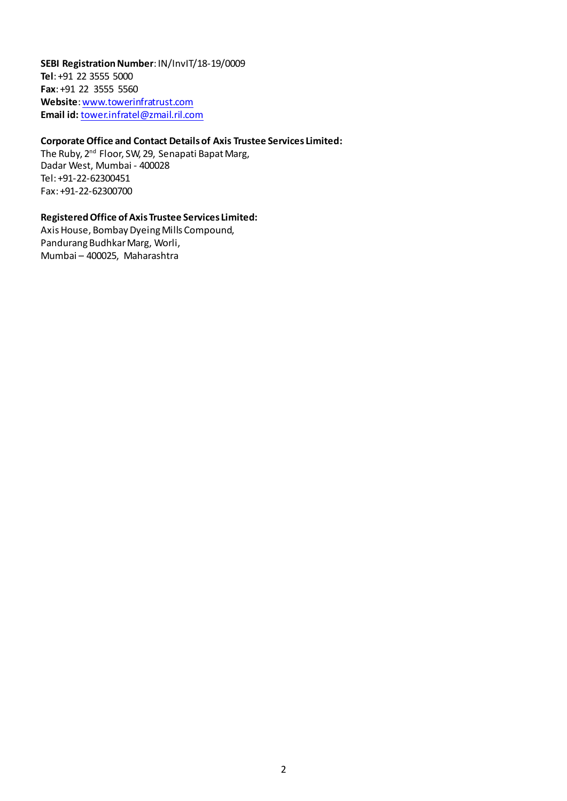**SEBI Registration Number**: IN/InvIT/18-19/0009 **Tel**: +91 22 3555 5000 **Fax**: +91 22 3555 5560 **Website**[: www.towerinfratrust.com](http://www.towerinfratrust.com/) **Email id:** [tower.infratel@zmail.ril.com](mailto:tower.infratel@zmail.ril.com)

## **Corporate Office and Contact Details of Axis Trustee Services Limited:**

The Ruby, 2<sup>nd</sup> Floor, SW, 29, Senapati Bapat Marg, Dadar West, Mumbai - 400028 Tel: +91-22-62300451 Fax: +91-22-62300700

### **Registered Office of Axis Trustee Services Limited:**

Axis House, Bombay Dyeing Mills Compound, Pandurang Budhkar Marg, Worli, Mumbai – 400025, Maharashtra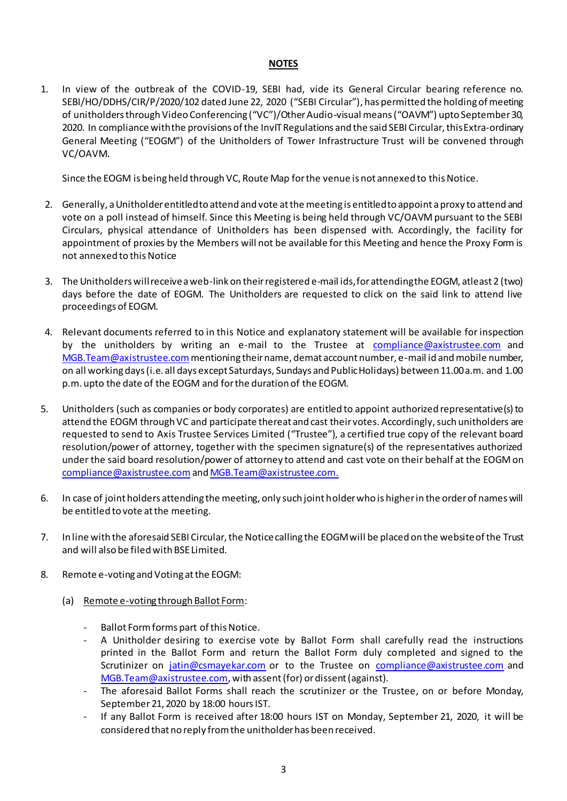### **NOTES**

1. In view of the outbreak of the COVID-19, SEBI had, vide its General Circular bearing reference no. SEBI/HO/DDHS/CIR/P/2020/102 dated June 22, 2020 ("SEBI Circular"), has permitted the holding of meeting of unitholders through Video Conferencing ("VC")/Other Audio-visual means ("OAVM") upto September 30, 2020. In compliance with the provisions of the InvIT Regulations and the said SEBI Circular, this Extra-ordinary General Meeting ("EOGM") of the Unitholders of Tower Infrastructure Trust will be convened through VC/OAVM.

Since the EOGM is being held through VC, Route Map for the venue is not annexed to this Notice.

- 2. Generally, a Unitholder entitled to attend and vote at the meeting is entitled to appoint a proxy to attend and vote on a poll instead of himself. Since this Meeting is being held through VC/OAVM pursuant to the SEBI Circulars, physical attendance of Unitholders has been dispensed with. Accordingly, the facility for appointment of proxies by the Members will not be available for this Meeting and hence the Proxy Form is not annexed to this Notice
- 3. The Unitholders will receive a web-link on their registered e-mail ids, for attending the EOGM, atleast 2 (two) days before the date of EOGM. The Unitholders are requested to click on the said link to attend live proceedings of EOGM.
- 4. Relevant documents referred to in this Notice and explanatory statement will be available for inspection by the unitholders by writing an e-mail to the Trustee at [compliance@axistrustee.com](mailto:compliance@axistrustee.com) and [MGB.Team@axistrustee.com](mailto:MGB.Team@axistrustee.com)mentioning their name, demat account number, e-mail id and mobile number, on all working days (i.e. all days except Saturdays, Sundays and Public Holidays) between 11.00 a.m. and 1.00 p.m. upto the date of the EOGM and for the duration of the EOGM.
- 5. Unitholders (such as companies or body corporates) are entitled to appoint authorized representative(s) to attend the EOGM through VC and participate thereat and cast their votes. Accordingly, such unitholders are requested to send to Axis Trustee Services Limited ("Trustee"), a certified true copy of the relevant board resolution/power of attorney, together with the specimen signature(s) of the representatives authorized under the said board resolution/power of attorney to attend and cast vote on their behalf at the EOGM on [compliance@axistrustee.com](mailto:compliance@axistrustee.com)an[d MGB.Team@axistrustee.com](mailto:MGB.Team@axistrustee.com).
- 6. In case of joint holders attending the meeting, only such joint holder who is higher in the order of names will be entitled to vote at the meeting.
- 7. In line with the aforesaid SEBI Circular, the Notice calling the EOGMwill be placed on the website of the Trust and will also be filed with BSE Limited.
- 8. Remote e-voting and Voting at the EOGM:
	- (a) Remote e-voting through Ballot Form:
		- Ballot Form forms part of this Notice.
		- A Unitholder desiring to exercise vote by Ballot Form shall carefully read the instructions printed in the Ballot Form and return the Ballot Form duly completed and signed to the Scrutinizer on [jatin@csmayekar.com](mailto:jatin@csmayekar.com) or to the Trustee on [compliance@axistrustee.com](mailto:compliance@axistrustee.com) and [MGB.Team@axistrustee.com](mailto:MGB.Team@axistrustee.com), with assent (for) or dissent (against).
		- The aforesaid Ballot Forms shall reach the scrutinizer or the Trustee, on or before Monday, September 21, 2020 by 18:00 hours IST.
		- If any Ballot Form is received after 18:00 hours IST on Monday, September 21, 2020, it will be considered that no reply from the unitholder has been received.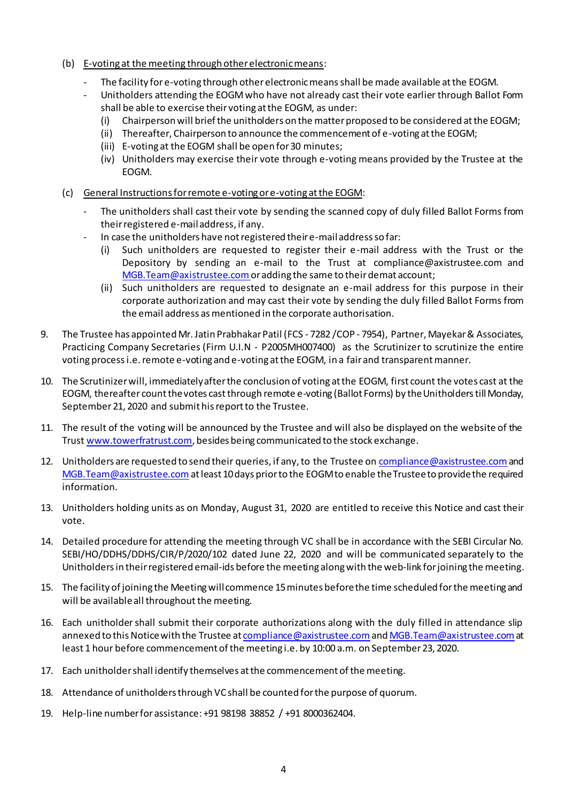- (b) E-voting at the meeting through other electronic means:
	- The facility for e-voting through other electronic means shall be made available at the EOGM.
	- Unitholders attending the EOGM who have not already cast their vote earlier through Ballot Form shall be able to exercise their voting at the EOGM, as under:
		- (i) Chairperson will brief the unitholders on the matter proposed to be considered at the EOGM;
		- (ii) Thereafter, Chairperson to announce the commencement of e-voting at the EOGM;
		- (iii) E-voting at the EOGM shall be open for 30 minutes;
		- (iv) Unitholders may exercise their vote through e-voting means provided by the Trustee at the EOGM.
- (c) General Instructionsfor remote e-voting or e-voting at the EOGM:
	- The unitholders shall cast their vote by sending the scanned copy of duly filled Ballot Forms from their registered e-mail address, if any.
	- In case the unitholders have not registered their e-mail address so far:
		- (i) Such unitholders are requested to register their e-mail address with the Trust or the Depository by sending an e-mail to the Trust at compliance@axistrustee.com and MGB. Team@axistrustee.com or adding the same to their demat account;
		- (ii) Such unitholders are requested to designate an e-mail address for this purpose in their corporate authorization and may cast their vote by sending the duly filled Ballot Forms from the email address as mentioned in the corporate authorisation.
- 9. The Trustee has appointed Mr. Jatin Prabhakar Patil (FCS 7282 /COP 7954), Partner, Mayekar & Associates, Practicing Company Secretaries (Firm U.I.N - P2005MH007400) as the Scrutinizer to scrutinize the entire voting process i.e. remote e-voting and e-voting at the EOGM, in a fair and transparent manner.
- 10. The Scrutinizer will, immediately after the conclusion of voting at the EOGM, first count the votes cast at the EOGM, thereafter count the votes cast through remote e-voting (Ballot Forms) by the Unitholders till Monday, September 21, 2020 and submit his report to the Trustee.
- 11. The result of the voting will be announced by the Trustee and will also be displayed on the website of the Trus[t www.towerfratrust.com](http://www.towerfratrust.com/), besides being communicated to the stock exchange.
- 12. Unitholders are requested to send their queries, if any, to the Trustee on compliance @axistrustee.com and [MGB.Team@axistrustee.com](mailto:MGB.Team@axistrustee.com)at least 10 days prior to the EOGM to enable the Trustee to provide the required information.
- 13. Unitholders holding units as on Monday, August 31, 2020 are entitled to receive this Notice and cast their vote.
- 14. Detailed procedure for attending the meeting through VC shall be in accordance with the SEBI Circular No. SEBI/HO/DDHS/DDHS/CIR/P/2020/102 dated June 22, 2020 and will be communicated separately to the Unitholders in their registered email-ids before the meeting along with the web-link for joining the meeting.
- 15. The facility of joining the Meeting will commence 15 minutes before the time scheduled for the meeting and will be available all throughout the meeting.
- 16. Each unitholder shall submit their corporate authorizations along with the duly filled in attendance slip annexed to this Notice with the Trustee at compliance @axistrustee.com an[d MGB.Team@axistrustee.com](mailto:MGB.Team@axistrustee.com) at least 1 hour before commencement of the meeting i.e. by 10:00 a.m. on September 23, 2020.
- 17. Each unitholder shall identify themselves at the commencement of the meeting.
- 18. Attendance of unitholders through VC shall be counted for the purpose of quorum.
- 19. Help-line number for assistance: +91 98198 38852 / +91 8000362404.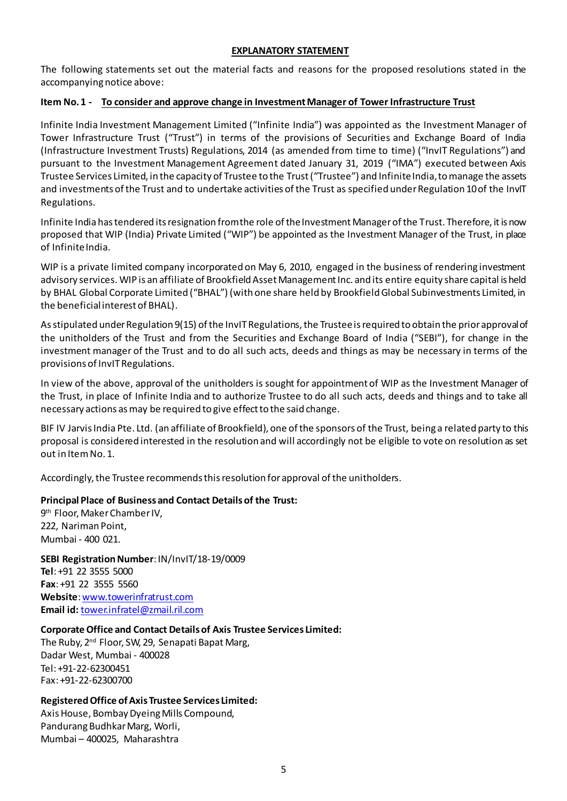### **EXPLANATORY STATEMENT**

The following statements set out the material facts and reasons for the proposed resolutions stated in the accompanying notice above:

### **Item No. 1 - To consider and approve change in Investment Manager of Tower Infrastructure Trust**

Infinite India Investment Management Limited ("Infinite India") was appointed as the Investment Manager of Tower Infrastructure Trust ("Trust") in terms of the provisions of Securities and Exchange Board of India (Infrastructure Investment Trusts) Regulations, 2014 (as amended from time to time) ("InvIT Regulations") and pursuant to the Investment Management Agreement dated January 31, 2019 ("IMA") executed between Axis Trustee Services Limited, in the capacity of Trustee to the Trust ("Trustee") and Infinite India, to manage the assets and investments of the Trust and to undertake activities of the Trust as specified under Regulation 10 of the InvIT Regulations.

Infinite India has tendered its resignation from the role of the Investment Manager of the Trust. Therefore, it is now proposed that WIP (India) Private Limited ("WIP") be appointed as the Investment Manager of the Trust, in place of Infinite India.

WIP is a private limited company incorporated on May 6, 2010, engaged in the business of rendering investment advisory services. WIP is an affiliate of Brookfield Asset Management Inc. and its entire equity share capital is held by BHAL Global Corporate Limited ("BHAL") (with one share held by Brookfield Global Subinvestments Limited, in the beneficial interest of BHAL).

As stipulated under Regulation 9(15) of the InvIT Regulations, the Trustee is required to obtain the prior approval of the unitholders of the Trust and from the Securities and Exchange Board of India ("SEBI"), for change in the investment manager of the Trust and to do all such acts, deeds and things as may be necessary in terms of the provisions of InvIT Regulations.

In view of the above, approval of the unitholders is sought for appointment of WIP as the Investment Manager of the Trust, in place of Infinite India and to authorize Trustee to do all such acts, deeds and things and to take all necessary actions as may be required to give effect to the said change.

BIF IV Jarvis India Pte. Ltd. (an affiliate of Brookfield), one of the sponsors of the Trust, being a related party to this proposal is considered interested in the resolution and will accordingly not be eligible to vote on resolution as set out in Item No. 1.

Accordingly, the Trustee recommends this resolution for approval of the unitholders.

## **Principal Place of Business and Contact Details of the Trust:**

9<sup>th</sup> Floor, Maker Chamber IV, 222, Nariman Point, Mumbai - 400 021.

**SEBI Registration Number**: IN/InvIT/18-19/0009 **Tel**: +91 22 3555 5000 **Fax**: +91 22 3555 5560 **Website**[: www.towerinfratrust.com](http://www.towerinfratrust.com/) **Email id:** [tower.infratel@zmail.ril.com](mailto:tower.infratel@zmail.ril.com)

## **Corporate Office and Contact Details of Axis Trustee Services Limited:**

The Ruby, 2<sup>nd</sup> Floor, SW, 29, Senapati Bapat Marg, Dadar West, Mumbai - 400028 Tel: +91-22-62300451 Fax: +91-22-62300700

### **Registered Office of Axis Trustee Services Limited:**

Axis House, Bombay Dyeing Mills Compound, Pandurang Budhkar Marg, Worli, Mumbai – 400025, Maharashtra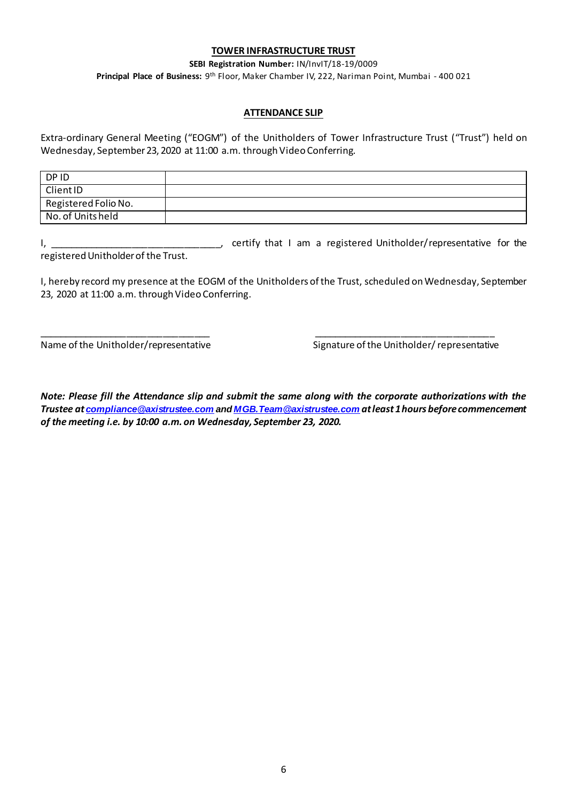### **TOWER INFRASTRUCTURE TRUST**

**SEBI Registration Number:** IN/InvIT/18-19/0009

**Principal Place of Business:** 9 th Floor, Maker Chamber IV, 222, Nariman Point, Mumbai - 400 021

#### **ATTENDANCE SLIP**

Extra-ordinary General Meeting ("EOGM") of the Unitholders of Tower Infrastructure Trust ("Trust") held on Wednesday, September 23, 2020 at 11:00 a.m. through Video Conferring.

| DP ID                |  |
|----------------------|--|
| Client ID            |  |
| Registered Folio No. |  |
| No. of Units held    |  |

I, \_\_\_\_\_\_\_\_\_\_\_\_\_\_\_\_\_\_\_\_\_\_\_\_\_\_\_\_\_\_\_\_\_, certify that I am a registered Unitholder/representative for the registered Unitholder of the Trust.

I, hereby record my presence at the EOGM of the Unitholders of the Trust, scheduled on Wednesday, September 23, 2020 at 11:00 a.m. through Video Conferring.

\_\_\_\_\_\_\_\_\_\_\_\_\_\_\_\_\_\_\_\_\_\_\_\_\_\_\_\_\_\_\_\_\_ \_\_\_\_\_\_\_\_\_\_\_\_\_\_\_\_\_\_\_\_\_\_\_\_\_\_\_\_\_\_\_\_\_\_\_

Name of the Unitholder/representative Signature of the Unitholder/representative

*Note: Please fill the Attendance slip and submit the same along with the corporate authorizations with the Trustee at [compliance@axistrustee.com](mailto:compliance@axistrustee.com) an[d MGB.Team@axistrustee.com](mailto:MGB.Team@axistrustee.com) at least 1hours before commencement of the meeting i.e. by 10:00 a.m. on Wednesday, September 23, 2020.*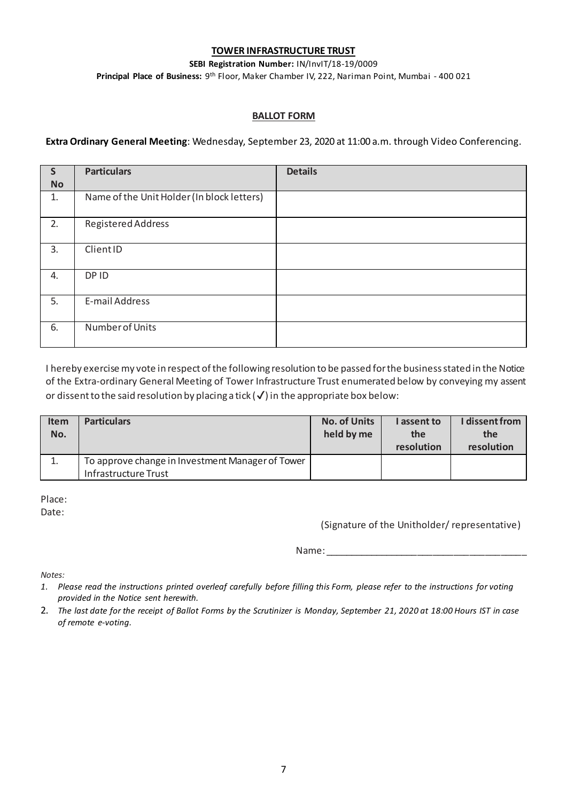### **TOWER INFRASTRUCTURE TRUST**

**SEBI Registration Number:** IN/InvIT/18-19/0009

**Principal Place of Business:** 9 th Floor, Maker Chamber IV, 222, Nariman Point, Mumbai - 400 021

### **BALLOT FORM**

**Extra Ordinary General Meeting**: Wednesday, September 23, 2020 at 11:00 a.m. through Video Conferencing.

| $\mathsf{S}$<br><b>No</b> | <b>Particulars</b>                         | <b>Details</b> |
|---------------------------|--------------------------------------------|----------------|
| 1.                        | Name of the Unit Holder (In block letters) |                |
| 2.                        | Registered Address                         |                |
| 3.                        | ClientID                                   |                |
| 4.                        | DP ID                                      |                |
| 5.                        | E-mail Address                             |                |
| 6.                        | Number of Units                            |                |

I hereby exercise my vote in respect of the following resolution to be passed for the business stated in the Notice of the Extra-ordinary General Meeting of Tower Infrastructure Trust enumerated below by conveying my assent or dissent to the said resolution by placing a tick  $(\checkmark)$  in the appropriate box below:

| <b>Item</b> | <b>Particulars</b>                               | <b>No. of Units</b> | I assent to | I dissent from |
|-------------|--------------------------------------------------|---------------------|-------------|----------------|
| No.         |                                                  | held by me          | the         | the            |
|             |                                                  |                     | resolution  | resolution     |
|             | To approve change in Investment Manager of Tower |                     |             |                |
|             | Infrastructure Trust                             |                     |             |                |

Place:

Date:

(Signature of the Unitholder/ representative)

Name: \_\_\_\_\_\_\_\_\_\_\_\_\_\_\_\_\_\_\_\_\_\_\_\_\_\_\_\_\_\_\_\_\_\_\_\_\_\_\_

*Notes:* 

- *1. Please read the instructions printed overleaf carefully before filling this Form, please refer to the instructions for voting provided in the Notice sent herewith.*
- 2. *The last date for the receipt of Ballot Forms by the Scrutinizer is Monday, September 21, 2020 at 18:00 Hours IST in case of remote e-voting.*